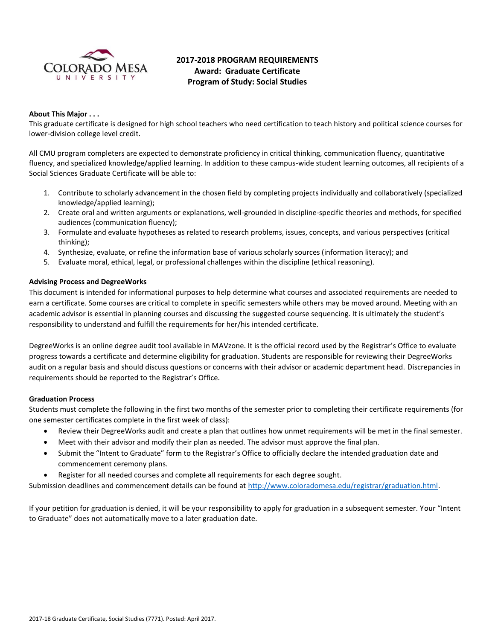

# **2017-2018 PROGRAM REQUIREMENTS Award: Graduate Certificate Program of Study: Social Studies**

# **About This Major . . .**

This graduate certificate is designed for high school teachers who need certification to teach history and political science courses for lower-division college level credit.

All CMU program completers are expected to demonstrate proficiency in critical thinking, communication fluency, quantitative fluency, and specialized knowledge/applied learning. In addition to these campus-wide student learning outcomes, all recipients of a Social Sciences Graduate Certificate will be able to:

- 1. Contribute to scholarly advancement in the chosen field by completing projects individually and collaboratively (specialized knowledge/applied learning);
- 2. Create oral and written arguments or explanations, well-grounded in discipline-specific theories and methods, for specified audiences (communication fluency);
- 3. Formulate and evaluate hypotheses as related to research problems, issues, concepts, and various perspectives (critical thinking);
- 4. Synthesize, evaluate, or refine the information base of various scholarly sources (information literacy); and
- 5. Evaluate moral, ethical, legal, or professional challenges within the discipline (ethical reasoning).

### **Advising Process and DegreeWorks**

This document is intended for informational purposes to help determine what courses and associated requirements are needed to earn a certificate. Some courses are critical to complete in specific semesters while others may be moved around. Meeting with an academic advisor is essential in planning courses and discussing the suggested course sequencing. It is ultimately the student's responsibility to understand and fulfill the requirements for her/his intended certificate.

DegreeWorks is an online degree audit tool available in MAVzone. It is the official record used by the Registrar's Office to evaluate progress towards a certificate and determine eligibility for graduation. Students are responsible for reviewing their DegreeWorks audit on a regular basis and should discuss questions or concerns with their advisor or academic department head. Discrepancies in requirements should be reported to the Registrar's Office.

### **Graduation Process**

Students must complete the following in the first two months of the semester prior to completing their certificate requirements (for one semester certificates complete in the first week of class):

- Review their DegreeWorks audit and create a plan that outlines how unmet requirements will be met in the final semester.
- Meet with their advisor and modify their plan as needed. The advisor must approve the final plan.
- Submit the "Intent to Graduate" form to the Registrar's Office to officially declare the intended graduation date and commencement ceremony plans.
- Register for all needed courses and complete all requirements for each degree sought.

Submission deadlines and commencement details can be found at [http://www.coloradomesa.edu/registrar/graduation.html.](http://www.coloradomesa.edu/registrar/graduation.html)

If your petition for graduation is denied, it will be your responsibility to apply for graduation in a subsequent semester. Your "Intent to Graduate" does not automatically move to a later graduation date.